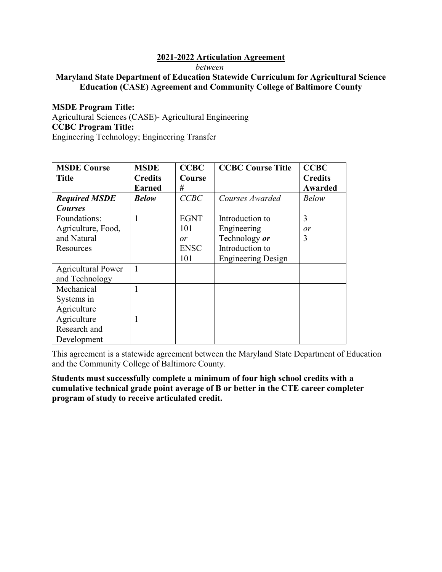*between* 

## **Education (CASE) Agreement and Community College of Baltimore County Maryland State Department of Education Statewide Curriculum for Agricultural Science**

## **MSDE Program Title:**

Agricultural Sciences (CASE)- Agricultural Engineering **CCBC Program Title:**  Engineering Technology; Engineering Transfer

| <b>MSDE Course</b>        | <b>MSDE</b>    | <b>CCBC</b> | <b>CCBC Course Title</b>  | <b>CCBC</b>    |
|---------------------------|----------------|-------------|---------------------------|----------------|
| <b>Title</b>              | <b>Credits</b> | Course      |                           | <b>Credits</b> |
|                           | <b>Earned</b>  | #           |                           | Awarded        |
| <b>Required MSDE</b>      | <b>Below</b>   | CCBC        | Courses Awarded           | <b>Below</b>   |
| <b>Courses</b>            |                |             |                           |                |
| Foundations:              | 1              | <b>EGNT</b> | Introduction to           | 3              |
| Agriculture, Food,        |                | 101         | Engineering               | or             |
| and Natural               |                | or          | Technology or             | 3              |
| Resources                 |                | <b>ENSC</b> | Introduction to           |                |
|                           |                | 101         | <b>Engineering Design</b> |                |
| <b>Agricultural Power</b> | 1              |             |                           |                |
| and Technology            |                |             |                           |                |
| Mechanical                | 1              |             |                           |                |
| Systems in                |                |             |                           |                |
| Agriculture               |                |             |                           |                |
| Agriculture               | 1              |             |                           |                |
| Research and              |                |             |                           |                |
| Development               |                |             |                           |                |

This agreement is a statewide agreement between the Maryland State Department of Education and the Community College of Baltimore County.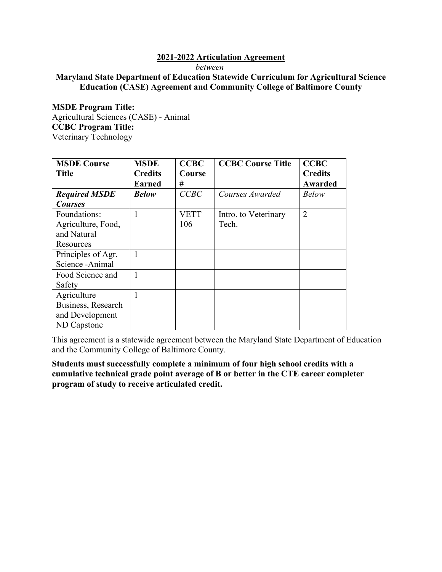*between* 

# **Education (CASE) Agreement and Community College of Baltimore County Maryland State Department of Education Statewide Curriculum for Agricultural Science**

 **MSDE Program Title:**  Agricultural Sciences (CASE) - Animal **CCBC Program Title:**  Veterinary Technology

| <b>MSDE Course</b>   | <b>MSDE</b>    | <b>CCBC</b> | <b>CCBC Course Title</b> | <b>CCBC</b>    |
|----------------------|----------------|-------------|--------------------------|----------------|
| <b>Title</b>         | <b>Credits</b> | Course      |                          | <b>Credits</b> |
|                      | <b>Earned</b>  | #           |                          | <b>Awarded</b> |
| <b>Required MSDE</b> | <b>Below</b>   | CCBC        | Courses Awarded          | <b>Below</b>   |
| <b>Courses</b>       |                |             |                          |                |
| Foundations:         |                | <b>VETT</b> | Intro. to Veterinary     | $\overline{2}$ |
| Agriculture, Food,   |                | 106         | Tech.                    |                |
| and Natural          |                |             |                          |                |
| Resources            |                |             |                          |                |
| Principles of Agr.   | 1              |             |                          |                |
| Science - Animal     |                |             |                          |                |
| Food Science and     | 1              |             |                          |                |
| Safety               |                |             |                          |                |
| Agriculture          |                |             |                          |                |
| Business, Research   |                |             |                          |                |
| and Development      |                |             |                          |                |
| ND Capstone          |                |             |                          |                |

This agreement is a statewide agreement between the Maryland State Department of Education and the Community College of Baltimore County.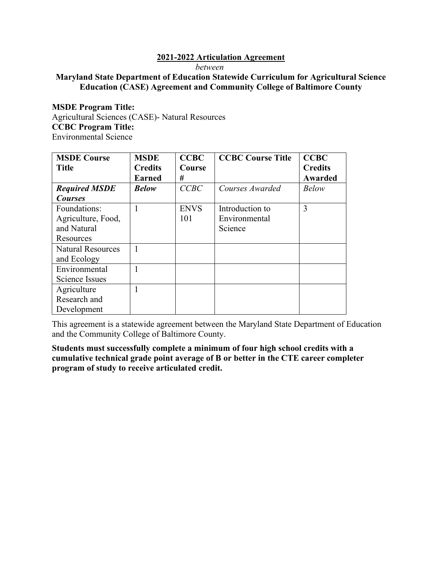*between* 

# **Education (CASE) Agreement and Community College of Baltimore County Maryland State Department of Education Statewide Curriculum for Agricultural Science**

#### **MSDE Program Title:**

Agricultural Sciences (CASE)- Natural Resources **CCBC Program Title:**  Environmental Science

| <b>MSDE Course</b>       | <b>MSDE</b>    | <b>CCBC</b> | <b>CCBC Course Title</b> | <b>CCBC</b>    |
|--------------------------|----------------|-------------|--------------------------|----------------|
| <b>Title</b>             | <b>Credits</b> | Course      |                          | <b>Credits</b> |
|                          | <b>Earned</b>  | #           |                          | Awarded        |
| <b>Required MSDE</b>     | <b>Below</b>   | CCBC        | Courses Awarded          | <b>Below</b>   |
| <b>Courses</b>           |                |             |                          |                |
| Foundations:             | 1              | <b>ENVS</b> | Introduction to          | 3              |
| Agriculture, Food,       |                | 101         | Environmental            |                |
| and Natural              |                |             | Science                  |                |
| Resources                |                |             |                          |                |
| <b>Natural Resources</b> | 1              |             |                          |                |
| and Ecology              |                |             |                          |                |
| Environmental            | 1              |             |                          |                |
| <b>Science Issues</b>    |                |             |                          |                |
| Agriculture              | 1              |             |                          |                |
| Research and             |                |             |                          |                |
| Development              |                |             |                          |                |

This agreement is a statewide agreement between the Maryland State Department of Education and the Community College of Baltimore County.